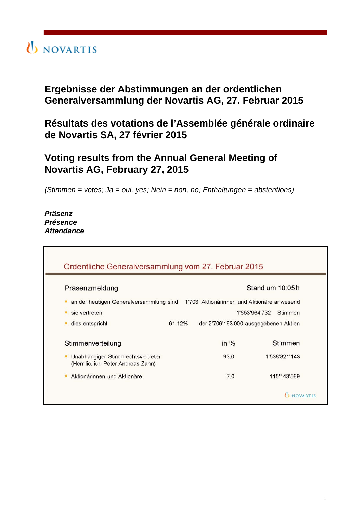

## **Ergebnisse der Abstimmungen an der ordentlichen Generalversammlung der Novartis AG, 27. Februar 2015**

**Résultats des votations de l'Assemblée générale ordinaire de Novartis SA, 27 février 2015**

## **Voting results from the Annual General Meeting of Novartis AG, February 27, 2015**

*(Stimmen = votes; Ja = oui, yes; Nein = non, no; Enthaltungen = abstentions)*

*Präsenz Présence Attendance*

| Präsenzmeldung                                                                     |        | Stand um 10:05h                       |
|------------------------------------------------------------------------------------|--------|---------------------------------------|
| an der heutigen Generalversammlung sind 1'703 Aktionärinnen und Aktionäre anwesend |        |                                       |
| sie vertreten                                                                      |        | 1'653'964'732<br>Stimmen              |
| dies entspricht                                                                    | 61.12% | der 2'706'193'000 ausgegebenen Aktien |
| Stimmenverteilung                                                                  | in $%$ | Stimmen                               |
| Unabhängiger Stimmrechtsvertreter<br>(Herr lic. iur. Peter Andreas Zahn)           | 93.0   | 1'538'821'143                         |
| Aktionärinnen und Aktionäre                                                        | 7.0    | 115'143'589                           |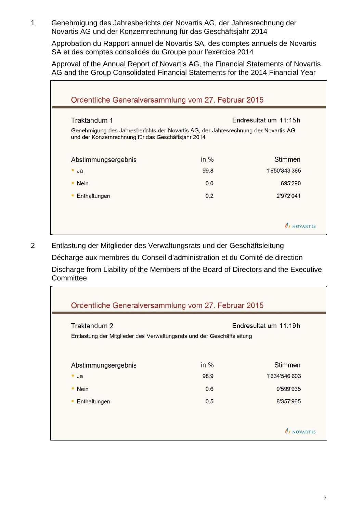1 Genehmigung des Jahresberichts der Novartis AG, der Jahresrechnung der Novartis AG und der Konzernrechnung für das Geschäftsjahr 2014

Approbation du Rapport annuel de Novartis SA, des comptes annuels de Novartis SA et des comptes consolidés du Groupe pour l'exercice 2014

Approval of the Annual Report of Novartis AG, the Financial Statements of Novartis AG and the Group Consolidated Financial Statements for the 2014 Financial Year

| Traktandum 1                                                                                                                             |      | Endresultat um 11:15h |
|------------------------------------------------------------------------------------------------------------------------------------------|------|-----------------------|
| Genehmigung des Jahresberichts der Novartis AG, der Jahresrechnung der Novartis AG<br>und der Konzernrechnung für das Geschäftsjahr 2014 |      |                       |
| Abstimmungsergebnis                                                                                                                      | in % | Stimmen               |
| $\blacksquare$ Ja                                                                                                                        | 99.8 | 1'650'343'365         |
| • Nein                                                                                                                                   | 0.0  | 695'290               |
| Enthaltungen                                                                                                                             | 0.2  | 2'972'041             |

2 Entlastung der Mitglieder des Verwaltungsrats und der Geschäftsleitung Décharge aux membres du Conseil d'administration et du Comité de direction Discharge from Liability of the Members of the Board of Directors and the Executive **Committee** 

| Traktandum 2                                                           |      | Endresultat um 11:19h |
|------------------------------------------------------------------------|------|-----------------------|
| Entlastung der Mitglieder des Verwaltungsrats und der Geschäftsleitung |      |                       |
| Abstimmungsergebnis                                                    | in % | <b>Stimmen</b>        |
| $\blacksquare$ Ja                                                      | 98.9 | 1'634'546'603         |
| • Nein                                                                 | 0.6  | 9'599'935             |
| Enthaltungen<br>٠                                                      | 0.5  | 8'357'965             |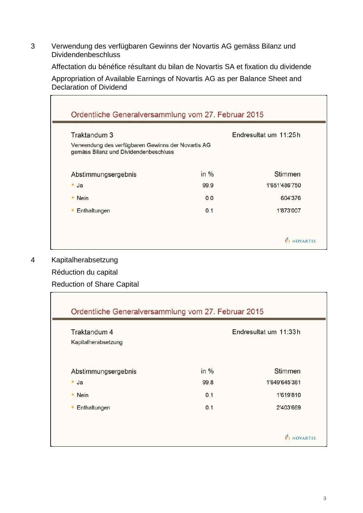3 Verwendung des verfügbaren Gewinns der Novartis AG gemäss Bilanz und Dividendenbeschluss

Affectation du bénéfice résultant du bilan de Novartis SA et fixation du dividende

Appropriation of Available Earnings of Novartis AG as per Balance Sheet and Declaration of Dividend

| Traktandum 3                                                                                |      | Endresultat um 11:25h |
|---------------------------------------------------------------------------------------------|------|-----------------------|
| Verwendung des verfügbaren Gewinns der Novartis AG<br>gemäss Bilanz und Dividendenbeschluss |      |                       |
| Abstimmungsergebnis                                                                         | in % | <b>Stimmen</b>        |
| $-Ja$                                                                                       | 99.9 | 1'651'486'750         |
| • Nein                                                                                      | 0.0  | 604'376               |
| Enthaltungen                                                                                | 0.1  | 1'873'007             |

4 Kapitalherabsetzung

Réduction du capital

Reduction of Share Capital

| Traktandum 4<br>Kapitalherabsetzung |      | Endresultat um 11:33h |
|-------------------------------------|------|-----------------------|
| Abstimmungsergebnis                 | in % | <b>Stimmen</b>        |
| $\blacksquare$ Ja                   | 99.8 | 1'649'645'361         |
| <b>Nein</b><br>٠                    | 0.1  | 1'619'810             |
| Enthaltungen                        | 0.1  | 2'403'669             |

Ĕ.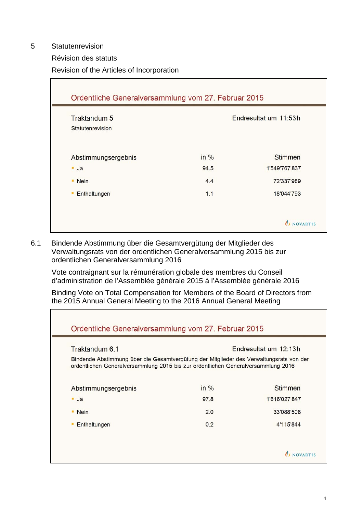5 Statutenrevision

 $\blacksquare$ 

Révision des statuts

Revision of the Articles of Incorporation

| Traktandum 5        |      | Endresultat um 11:53h |
|---------------------|------|-----------------------|
| Statutenrevision    |      |                       |
| Abstimmungsergebnis | in % | <b>Stimmen</b>        |
| $-Ja$               | 94.5 | 1'549'767'837         |
| • Nein              | 4.4  | 72'337'989            |
| Enthaltungen        | 1.1  | 18'044'793            |

6.1 Bindende Abstimmung über die Gesamtvergütung der Mitglieder des Verwaltungsrats von der ordentlichen Generalversammlung 2015 bis zur ordentlichen Generalversammlung 2016

Vote contraignant sur la rémunération globale des membres du Conseil d'administration de l'Assemblée générale 2015 à l'Assemblée générale 2016

Binding Vote on Total Compensation for Members of the Board of Directors from the 2015 Annual General Meeting to the 2016 Annual General Meeting

| Traktandum 6.1                                                                                                                                                               |      | Endresultat um 12:13h |
|------------------------------------------------------------------------------------------------------------------------------------------------------------------------------|------|-----------------------|
| Bindende Abstimmung über die Gesamtvergütung der Mitglieder des Verwaltungsrats von der<br>ordentlichen Generalversammlung 2015 bis zur ordentlichen Generalversammlung 2016 |      |                       |
| Abstimmungsergebnis                                                                                                                                                          | in % | Stimmen               |
| $\blacksquare$ Ja                                                                                                                                                            | 97.8 | 1'616'027'847         |
| $\blacksquare$ Nein                                                                                                                                                          | 2.0  | 33'088'508            |
| Enthaltungen                                                                                                                                                                 | 0.2  | 4'115'844             |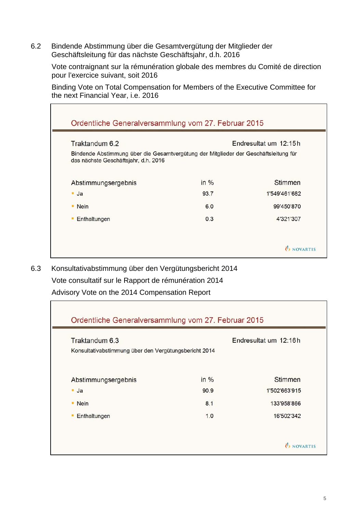6.2 Bindende Abstimmung über die Gesamtvergütung der Mitglieder der Geschäftsleitung für das nächste Geschäftsjahr, d.h. 2016

Vote contraignant sur la rémunération globale des membres du Comité de direction pour l'exercice suivant, soit 2016

Binding Vote on Total Compensation for Members of the Executive Committee for the next Financial Year, i.e. 2016

| Bindende Abstimmung über die Gesamtvergütung der Mitglieder der Geschäftsleitung für<br>das nächste Geschäftsjahr, d.h. 2016 |        |               |
|------------------------------------------------------------------------------------------------------------------------------|--------|---------------|
| Abstimmungsergebnis                                                                                                          | in $%$ | Stimmen       |
| $\blacksquare$ Ja                                                                                                            | 93.7   | 1'549'461'682 |
| • Nein                                                                                                                       | 6.0    | 99'450'870    |
| Enthaltungen<br>٠                                                                                                            | 0.3    | 4'321'307     |

6.3 Konsultativabstimmung über den Vergütungsbericht 2014 Vote consultatif sur le Rapport de rémunération 2014 Advisory Vote on the 2014 Compensation Report

| Ordentliche Generalversammlung vom 27. Februar 2015<br>Traktandum 6.3<br>Konsultativabstimmung über den Vergütungsbericht 2014 |      | Endresultat um 12:16h |
|--------------------------------------------------------------------------------------------------------------------------------|------|-----------------------|
| Abstimmungsergebnis                                                                                                            | in % | <b>Stimmen</b>        |
| $-Ja$                                                                                                                          | 90.9 | 1'502'663'915         |
| • Nein                                                                                                                         | 8.1  | 133'958'866           |
| Enthaltungen                                                                                                                   | 1.0  | 16'502'342            |
|                                                                                                                                |      | <b>U</b> NOVARTIS     |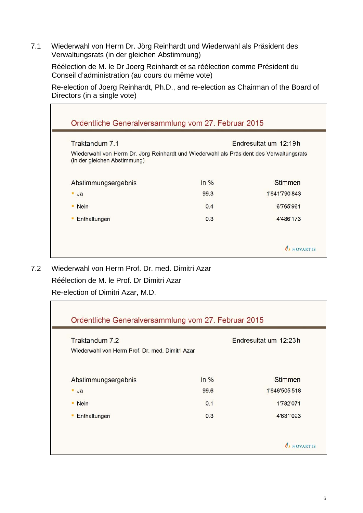7.1 Wiederwahl von Herrn Dr. Jörg Reinhardt und Wiederwahl als Präsident des Verwaltungsrats (in der gleichen Abstimmung)

Réélection de M. le Dr Joerg Reinhardt et sa réélection comme Président du Conseil d'administration (au cours du même vote)

Re-election of Joerg Reinhardt, Ph.D., and re-election as Chairman of the Board of Directors (in a single vote)

| Traktandum 7.1                                                                                                           |        | Endresultat um 12:19h |
|--------------------------------------------------------------------------------------------------------------------------|--------|-----------------------|
| Wiederwahl von Herrn Dr. Jörg Reinhardt und Wiederwahl als Präsident des Verwaltungsrats<br>(in der gleichen Abstimmung) |        |                       |
| Abstimmungsergebnis                                                                                                      | in $%$ | <b>Stimmen</b>        |
| $\blacksquare$ Ja                                                                                                        | 99.3   | 1'641'790'843         |
| • Nein                                                                                                                   | 0.4    | 6'765'961             |
| Enthaltungen<br>٠                                                                                                        | 0.3    | 4'486'173             |

7.2 Wiederwahl von Herrn Prof. Dr. med. Dimitri Azar Réélection de M. le Prof. Dr Dimitri Azar Re-election of Dimitri Azar, M.D.

| Traktandum 7.2                                   |         | Endresultat um 12:23h |
|--------------------------------------------------|---------|-----------------------|
| Wiederwahl von Herrn Prof. Dr. med. Dimitri Azar |         |                       |
| Abstimmungsergebnis                              | $in \%$ | <b>Stimmen</b>        |
| $\blacksquare$ Ja                                | 99.6    | 1'646'505'518         |
| • Nein                                           | 0.1     | 1'782'071             |
| Enthaltungen<br>٠                                | 0.3     | 4'631'023             |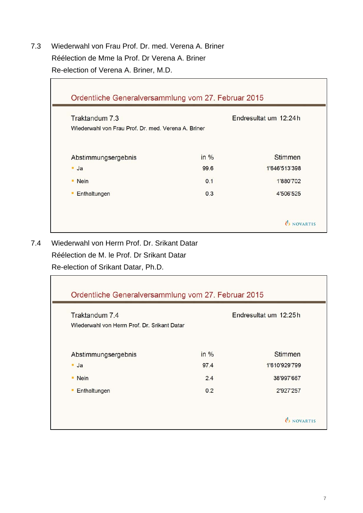7.3 Wiederwahl von Frau Prof. Dr. med. Verena A. Briner Réélection de Mme la Prof. Dr Verena A. Briner Re-election of Verena A. Briner, M.D.

| Traktandum 7.3                                      |      | Endresultat um 12:24 h |
|-----------------------------------------------------|------|------------------------|
| Wiederwahl von Frau Prof. Dr. med. Verena A. Briner |      |                        |
| Abstimmungsergebnis                                 | in % | <b>Stimmen</b>         |
| $-Ja$                                               | 99.6 | 1'646'513'398          |
| • Nein                                              | 0.1  | 1'880'702              |
| Enthaltungen<br>٠                                   | 0.3  | 4'506'525              |

7.4 Wiederwahl von Herrn Prof. Dr. Srikant Datar Réélection de M. le Prof. Dr Srikant Datar

Re-election of Srikant Datar, Ph.D.

| Traktandum 7.4                               |      | Endresultat um 12:25h |
|----------------------------------------------|------|-----------------------|
| Wiederwahl von Herrn Prof. Dr. Srikant Datar |      |                       |
| Abstimmungsergebnis                          | in % | <b>Stimmen</b>        |
| $\blacksquare$ Ja                            | 97.4 | 1'610'929'799         |
| • Nein                                       | 2.4  | 38'997'667            |
| Enthaltungen                                 | 0.2  | 2'927'257             |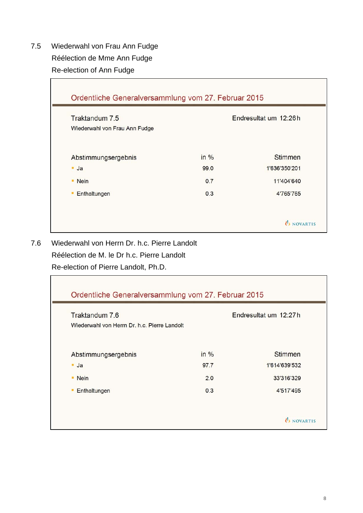7.5 Wiederwahl von Frau Ann Fudge Réélection de Mme Ann Fudge Re-election of Ann Fudge

| Traktandum 7.5                |      | Endresultat um 12:26h |
|-------------------------------|------|-----------------------|
| Wiederwahl von Frau Ann Fudge |      |                       |
| Abstimmungsergebnis           | in % | Stimmen               |
| $-Ja$                         | 99.0 | 1'636'350'201         |
| • Nein                        | 0.7  | 11'404'640            |
| Enthaltungen<br>٠             | 0.3  | 4'765'765             |

7.6 Wiederwahl von Herrn Dr. h.c. Pierre Landolt Réélection de M. le Dr h.c. Pierre Landolt Re-election of Pierre Landolt, Ph.D.

| Traktandum 7.6                               |      | Endresultat um 12:27h |
|----------------------------------------------|------|-----------------------|
| Wiederwahl von Herrn Dr. h.c. Pierre Landolt |      |                       |
| Abstimmungsergebnis                          | in % | <b>Stimmen</b>        |
| $-Ja$                                        | 97.7 | 1'614'639'532         |
| • Nein                                       | 2.0  | 33'316'329            |
| Enthaltungen<br>٠                            | 0.3  | 4'517'495             |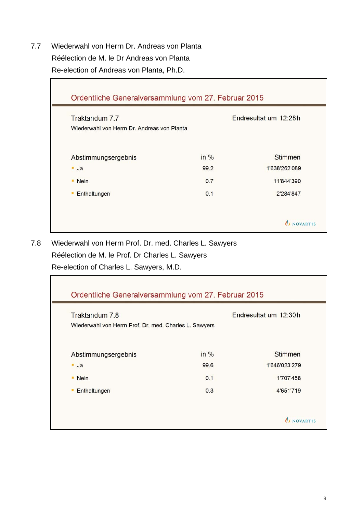7.7 Wiederwahl von Herrn Dr. Andreas von Planta Réélection de M. le Dr Andreas von Planta Re-election of Andreas von Planta, Ph.D.

| Traktandum 7.7                              |      | Endresultat um 12:28h |
|---------------------------------------------|------|-----------------------|
| Wiederwahl von Herrn Dr. Andreas von Planta |      |                       |
| Abstimmungsergebnis                         | in % | <b>Stimmen</b>        |
| $-Ja$                                       | 99.2 | 1'638'262'089         |
| • Nein                                      | 0.7  | 11'844'390            |
| Enthaltungen<br>٠                           | 0.1  | 2'284'847             |

7.8 Wiederwahl von Herrn Prof. Dr. med. Charles L. Sawyers Réélection de M. le Prof. Dr Charles L. Sawyers Re-election of Charles L. Sawyers, M.D.

| Traktandum 7.8                                         |      | Endresultat um 12:30h |
|--------------------------------------------------------|------|-----------------------|
| Wiederwahl von Herrn Prof. Dr. med. Charles L. Sawyers |      |                       |
| Abstimmungsergebnis                                    | in % | <b>Stimmen</b>        |
| $-Ja$                                                  | 99.6 | 1'646'023'279         |
| • Nein                                                 | 0.1  | 1'707'458             |
| Enthaltungen<br>٠                                      | 0.3  | 4'651'719             |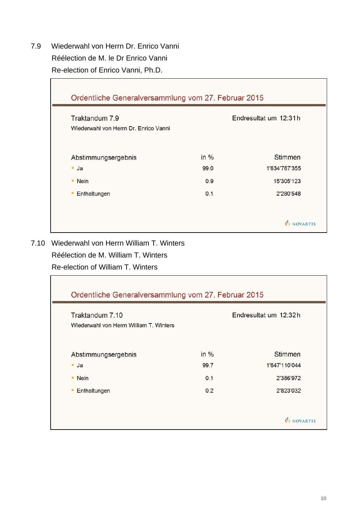7.9 Wiederwahl von Herrn Dr. Enrico Vanni Réélection de M. le Dr Enrico Vanni Re-election of Enrico Vanni, Ph.D.

 $\blacksquare$ 

| Traktandum 7.9                        |      | Endresultat um 12:31h |  |
|---------------------------------------|------|-----------------------|--|
| Wiederwahl von Herrn Dr. Enrico Vanni |      |                       |  |
| Abstimmungsergebnis                   | in % | <b>Stimmen</b>        |  |
| $-Ja$                                 | 99.0 | 1'634'767'355         |  |
| • Nein                                | 0.9  | 15'305'123            |  |
| Enthaltungen<br>٠                     | 0.1  | 2'280'548             |  |

7.10 Wiederwahl von Herrn William T. Winters

Réélection de M. William T. Winters

Re-election of William T. Winters

| Traktandum 7.10<br>Wiederwahl von Herrn William T. Winters |      | Endresultat um 12:32h |
|------------------------------------------------------------|------|-----------------------|
| Abstimmungsergebnis                                        | in % | <b>Stimmen</b>        |
| $-Ja$                                                      | 99.7 | 1'647'110'044         |
| • Nein                                                     | 0.1  | 2'386'972             |
| Enthaltungen                                               | 0.2  | 2'823'032             |

Ŧ.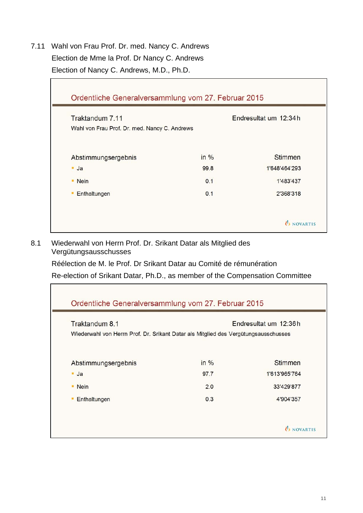7.11 Wahl von Frau Prof. Dr. med. Nancy C. Andrews Election de Mme la Prof. Dr Nancy C. Andrews Election of Nancy C. Andrews, M.D., Ph.D.

| Traktandum 7.11                               |      | Endresultat um 12:34 h |
|-----------------------------------------------|------|------------------------|
| Wahl von Frau Prof. Dr. med. Nancy C. Andrews |      |                        |
| Abstimmungsergebnis                           | in % | <b>Stimmen</b>         |
| $\blacksquare$ Ja                             | 99.8 | 1'648'464'293          |
| • Nein                                        | 0.1  | 1'483'437              |
| Enthaltungen<br>٠                             | 0.1  | 2'368'318              |

8.1 Wiederwahl von Herrn Prof. Dr. Srikant Datar als Mitglied des Vergütungsausschusses

Réélection de M. le Prof. Dr Srikant Datar au Comité de rémunération

Re-election of Srikant Datar, Ph.D., as member of the Compensation Committee

| Traktandum 8.1                                                                      |      | Endresultat um 12:36h |
|-------------------------------------------------------------------------------------|------|-----------------------|
| Wiederwahl von Herrn Prof. Dr. Srikant Datar als Mitglied des Vergütungsausschusses |      |                       |
|                                                                                     |      |                       |
| Abstimmungsergebnis                                                                 | in % | <b>Stimmen</b>        |
| $-Ja$                                                                               | 97.7 | 1'613'965'764         |
| • Nein                                                                              | 2.0  | 33'429'877            |
| Enthaltungen<br>٠                                                                   | 0.3  | 4'904'357             |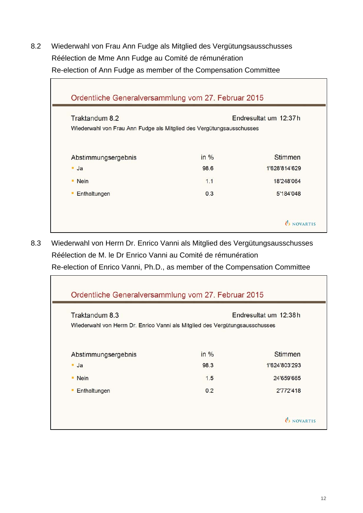8.2 Wiederwahl von Frau Ann Fudge als Mitglied des Vergütungsausschusses Réélection de Mme Ann Fudge au Comité de rémunération Re-election of Ann Fudge as member of the Compensation Committee

| Traktandum 8.2                                                       |      | Endresultat um 12:37h |
|----------------------------------------------------------------------|------|-----------------------|
| Wiederwahl von Frau Ann Fudge als Mitglied des Vergütungsausschusses |      |                       |
|                                                                      | in % | Stimmen               |
| Abstimmungsergebnis<br>$-Ja$                                         | 98.6 | 1'628'814'629         |
| • Nein                                                               | 1.1  | 18'248'064            |
| Enthaltungen                                                         | 0.3  | 5'184'048             |

8.3 Wiederwahl von Herrn Dr. Enrico Vanni als Mitglied des Vergütungsausschusses Réélection de M. le Dr Enrico Vanni au Comité de rémunération Re-election of Enrico Vanni, Ph.D., as member of the Compensation Committee

| Ordentliche Generalversammlung vom 27. Februar 2015                          |      |                       |
|------------------------------------------------------------------------------|------|-----------------------|
| Traktandum 8.3                                                               |      | Endresultat um 12:38h |
| Wiederwahl von Herrn Dr. Enrico Vanni als Mitglied des Vergütungsausschusses |      |                       |
| Abstimmungsergebnis                                                          | in % | Stimmen               |
| $\blacksquare$ Ja                                                            | 98.3 | 1'624'803'293         |
| <b>Nein</b><br>٠                                                             | 1.5  | 24'659'665            |
| Enthaltungen                                                                 | 0.2  | 2'772'418             |
|                                                                              |      |                       |
|                                                                              |      | U NOVARTIS            |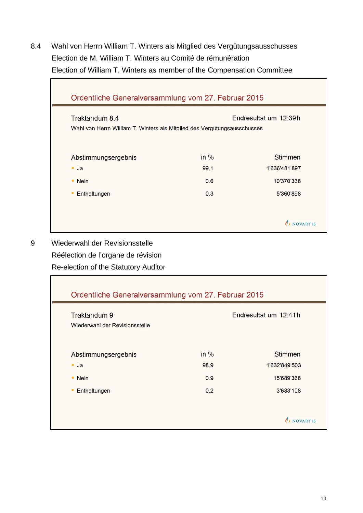8.4 Wahl von Herrn William T. Winters als Mitglied des Vergütungsausschusses Election de M. William T. Winters au Comité de rémunération Election of William T. Winters as member of the Compensation Committee

| Traktandum 8.4                                                           |      | Endresultat um 12:39h |
|--------------------------------------------------------------------------|------|-----------------------|
| Wahl von Herrn William T. Winters als Mitglied des Vergütungsausschusses |      |                       |
|                                                                          |      |                       |
| Abstimmungsergebnis                                                      | in % | Stimmen               |
| $-Ja$                                                                    | 99.1 | 1'636'481'897         |
| • Nein                                                                   | 0.6  | 10'370'338            |
| Enthaltungen<br>٠                                                        | 0.3  | 5'360'898             |

9 Wiederwahl der Revisionsstelle Réélection de l'organe de révision

Re-election of the Statutory Auditor

| Traktandum 9                   | Endresultat um 12:41h |                |
|--------------------------------|-----------------------|----------------|
| Wiederwahl der Revisionsstelle |                       |                |
| Abstimmungsergebnis            | in %                  | <b>Stimmen</b> |
| $-Ja$                          | 98.9                  | 1'632'849'503  |
| • Nein                         | 0.9                   | 15'689'368     |
| Enthaltungen                   | 0.2                   | 3'633'108      |